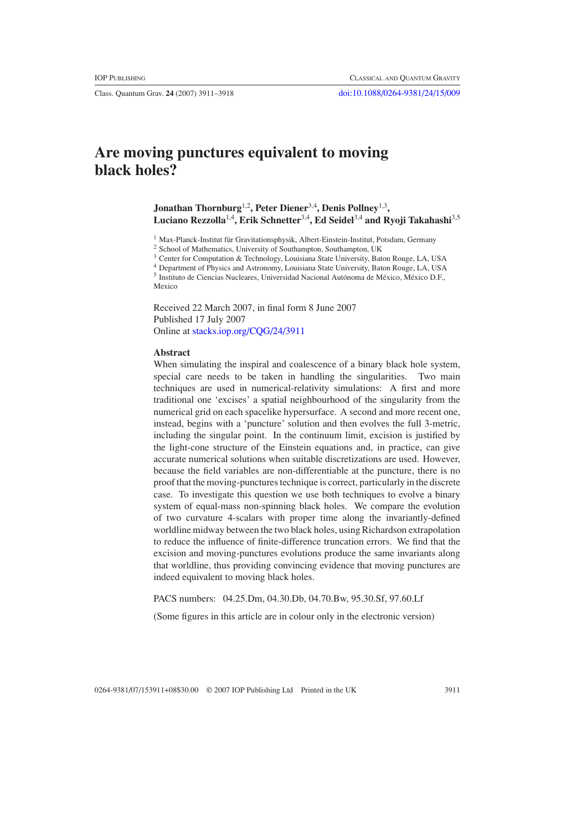Class. Quantum Grav. **24** (2007) 3911–3918 [doi:10.1088/0264-9381/24/15/009](http://dx.doi.org/10.1088/0264-9381/24/15/009)

# **Are moving punctures equivalent to moving black holes?**

**Jonathan Thornburg**1,2**, Peter Diener**3,4**, Denis Pollney**1,3**, Luciano Rezzolla**1,4**, Erik Schnetter**3,4**, Ed Seidel**3,4 **and Ryoji Takahashi**3,5

<sup>1</sup> Max-Planck-Institut für Gravitationsphysik, Albert-Einstein-Institut, Potsdam, Germany

<sup>2</sup> School of Mathematics, University of Southampton, Southampton, UK

<sup>3</sup> Center for Computation & Technology, Louisiana State University, Baton Rouge, LA, USA

<sup>4</sup> Department of Physics and Astronomy, Louisiana State University, Baton Rouge, LA, USA

<sup>5</sup> Instituto de Ciencias Nucleares, Universidad Nacional Autónoma de México, México D.F., Mexico

Received 22 March 2007, in final form 8 June 2007 Published 17 July 2007 Online at [stacks.iop.org/CQG/24/3911](http://stacks.iop.org/CQG/24/3911)

### **Abstract**

When simulating the inspiral and coalescence of a binary black hole system, special care needs to be taken in handling the singularities. Two main techniques are used in numerical-relativity simulations: A first and more traditional one 'excises' a spatial neighbourhood of the singularity from the numerical grid on each spacelike hypersurface. A second and more recent one, instead, begins with a 'puncture' solution and then evolves the full 3-metric, including the singular point. In the continuum limit, excision is justified by the light-cone structure of the Einstein equations and, in practice, can give accurate numerical solutions when suitable discretizations are used. However, because the field variables are non-differentiable at the puncture, there is no proof that the moving-punctures technique is correct, particularly in the discrete case. To investigate this question we use both techniques to evolve a binary system of equal-mass non-spinning black holes. We compare the evolution of two curvature 4-scalars with proper time along the invariantly-defined worldline midway between the two black holes, using Richardson extrapolation to reduce the influence of finite-difference truncation errors. We find that the excision and moving-punctures evolutions produce the same invariants along that worldline, thus providing convincing evidence that moving punctures are indeed equivalent to moving black holes.

PACS numbers: 04.25.Dm, 04.30.Db, 04.70.Bw, 95.30.Sf, 97.60.Lf

(Some figures in this article are in colour only in the electronic version)

0264-9381/07/153911+08\$30.00 © 2007 IOP Publishing Ltd Printed in the UK 3911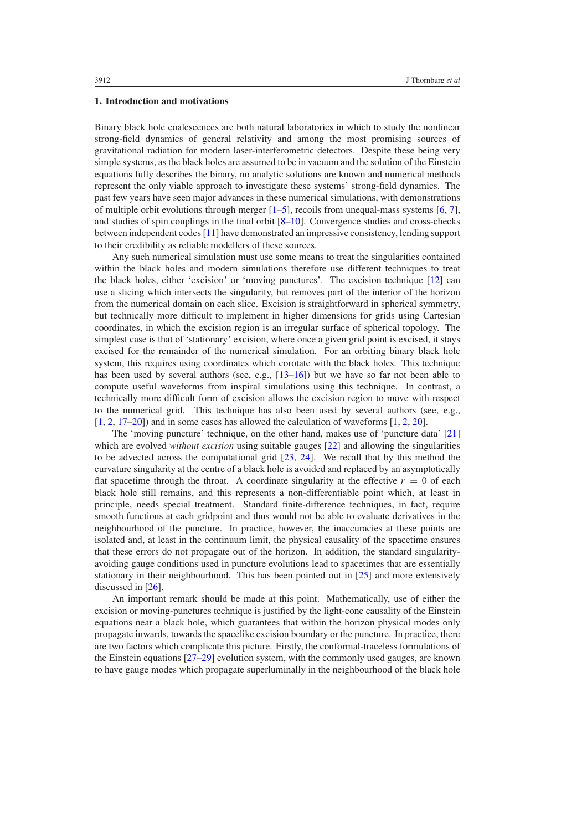## **1. Introduction and motivations**

Binary black hole coalescences are both natural laboratories in which to study the nonlinear strong-field dynamics of general relativity and among the most promising sources of gravitational radiation for modern laser-interferometric detectors. Despite these being very simple systems, as the black holes are assumed to be in vacuum and the solution of the Einstein equations fully describes the binary, no analytic solutions are known and numerical methods represent the only viable approach to investigate these systems' strong-field dynamics. The past few years have seen major advances in these numerical simulations, with demonstrations of multiple orbit evolutions through merger  $[1–5]$ , recoils from unequal-mass systems  $[6, 7]$  $[6, 7]$  $[6, 7]$ , and studies of spin couplings in the final orbit  $[8-10]$ . Convergence studies and cross-checks between independent codes [\[11\]](#page-6-0) have demonstrated an impressive consistency, lending support to their credibility as reliable modellers of these sources.

Any such numerical simulation must use some means to treat the singularities contained within the black holes and modern simulations therefore use different techniques to treat the black holes, either 'excision' or 'moving punctures'. The excision technique [\[12\]](#page-6-0) can use a slicing which intersects the singularity, but removes part of the interior of the horizon from the numerical domain on each slice. Excision is straightforward in spherical symmetry, but technically more difficult to implement in higher dimensions for grids using Cartesian coordinates, in which the excision region is an irregular surface of spherical topology. The simplest case is that of 'stationary' excision, where once a given grid point is excised, it stays excised for the remainder of the numerical simulation. For an orbiting binary black hole system, this requires using coordinates which corotate with the black holes. This technique has been used by several authors (see, e.g.,  $[13-16]$ ) but we have so far not been able to compute useful waveforms from inspiral simulations using this technique. In contrast, a technically more difficult form of excision allows the excision region to move with respect to the numerical grid. This technique has also been used by several authors (see, e.g., [\[1](#page-6-0), [2](#page-6-0), [17–20](#page-6-0)]) and in some cases has allowed the calculation of waveforms [\[1](#page-6-0), [2](#page-6-0), [20](#page-6-0)].

The 'moving puncture' technique, on the other hand, makes use of 'puncture data' [\[21](#page-6-0)] which are evolved *without excision* using suitable gauges [\[22\]](#page-7-0) and allowing the singularities to be advected across the computational grid [\[23,](#page-7-0) [24](#page-7-0)]. We recall that by this method the curvature singularity at the centre of a black hole is avoided and replaced by an asymptotically flat spacetime through the throat. A coordinate singularity at the effective  $r = 0$  of each black hole still remains, and this represents a non-differentiable point which, at least in principle, needs special treatment. Standard finite-difference techniques, in fact, require smooth functions at each gridpoint and thus would not be able to evaluate derivatives in the neighbourhood of the puncture. In practice, however, the inaccuracies at these points are isolated and, at least in the continuum limit, the physical causality of the spacetime ensures that these errors do not propagate out of the horizon. In addition, the standard singularityavoiding gauge conditions used in puncture evolutions lead to spacetimes that are essentially stationary in their neighbourhood. This has been pointed out in [\[25\]](#page-7-0) and more extensively discussed in [\[26](#page-7-0)].

An important remark should be made at this point. Mathematically, use of either the excision or moving-punctures technique is justified by the light-cone causality of the Einstein equations near a black hole, which guarantees that within the horizon physical modes only propagate inwards, towards the spacelike excision boundary or the puncture. In practice, there are two factors which complicate this picture. Firstly, the conformal-traceless formulations of the Einstein equations [\[27–29](#page-7-0)] evolution system, with the commonly used gauges, are known to have gauge modes which propagate superluminally in the neighbourhood of the black hole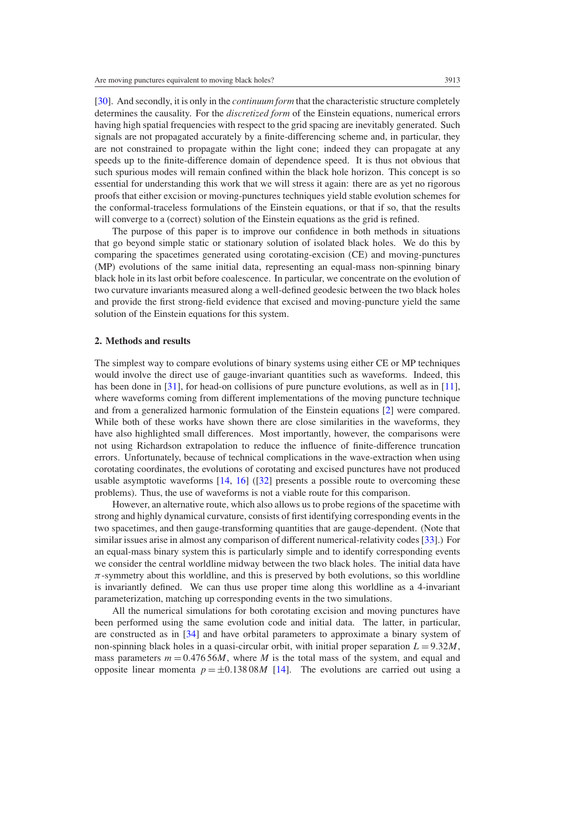[\[30](#page-7-0)]. And secondly, it is only in the *continuum form* that the characteristic structure completely determines the causality. For the *discretized form* of the Einstein equations, numerical errors having high spatial frequencies with respect to the grid spacing are inevitably generated. Such signals are not propagated accurately by a finite-differencing scheme and, in particular, they are not constrained to propagate within the light cone; indeed they can propagate at any speeds up to the finite-difference domain of dependence speed. It is thus not obvious that such spurious modes will remain confined within the black hole horizon. This concept is so essential for understanding this work that we will stress it again: there are as yet no rigorous proofs that either excision or moving-punctures techniques yield stable evolution schemes for the conformal-traceless formulations of the Einstein equations, or that if so, that the results will converge to a (correct) solution of the Einstein equations as the grid is refined.

The purpose of this paper is to improve our confidence in both methods in situations that go beyond simple static or stationary solution of isolated black holes. We do this by comparing the spacetimes generated using corotating-excision (CE) and moving-punctures (MP) evolutions of the same initial data, representing an equal-mass non-spinning binary black hole in its last orbit before coalescence. In particular, we concentrate on the evolution of two curvature invariants measured along a well-defined geodesic between the two black holes and provide the first strong-field evidence that excised and moving-puncture yield the same solution of the Einstein equations for this system.

## **2. Methods and results**

The simplest way to compare evolutions of binary systems using either CE or MP techniques would involve the direct use of gauge-invariant quantities such as waveforms. Indeed, this has been done in [\[31\]](#page-7-0), for head-on collisions of pure puncture evolutions, as well as in [\[11\]](#page-6-0), where waveforms coming from different implementations of the moving puncture technique and from a generalized harmonic formulation of the Einstein equations [\[2\]](#page-6-0) were compared. While both of these works have shown there are close similarities in the waveforms, they have also highlighted small differences. Most importantly, however, the comparisons were not using Richardson extrapolation to reduce the influence of finite-difference truncation errors. Unfortunately, because of technical complications in the wave-extraction when using corotating coordinates, the evolutions of corotating and excised punctures have not produced usable asymptotic waveforms  $[14, 16]$  $[14, 16]$  $[14, 16]$  $[14, 16]$   $([32]$  $([32]$  presents a possible route to overcoming these problems). Thus, the use of waveforms is not a viable route for this comparison.

However, an alternative route, which also allows us to probe regions of the spacetime with strong and highly dynamical curvature, consists of first identifying corresponding events in the two spacetimes, and then gauge-transforming quantities that are gauge-dependent. (Note that similar issues arise in almost any comparison of different numerical-relativity codes [\[33](#page-7-0)].) For an equal-mass binary system this is particularly simple and to identify corresponding events we consider the central worldline midway between the two black holes. The initial data have  $\pi$ -symmetry about this worldline, and this is preserved by both evolutions, so this worldline is invariantly defined. We can thus use proper time along this worldline as a 4-invariant parameterization, matching up corresponding events in the two simulations.

All the numerical simulations for both corotating excision and moving punctures have been performed using the same evolution code and initial data. The latter, in particular, are constructed as in [\[34\]](#page-7-0) and have orbital parameters to approximate a binary system of non-spinning black holes in a quasi-circular orbit, with initial proper separation  $L = 9.32M$ , mass parameters  $m = 0.47656M$ , where M is the total mass of the system, and equal and opposite linear momenta  $p = \pm 0.13808M$  [\[14\]](#page-6-0). The evolutions are carried out using a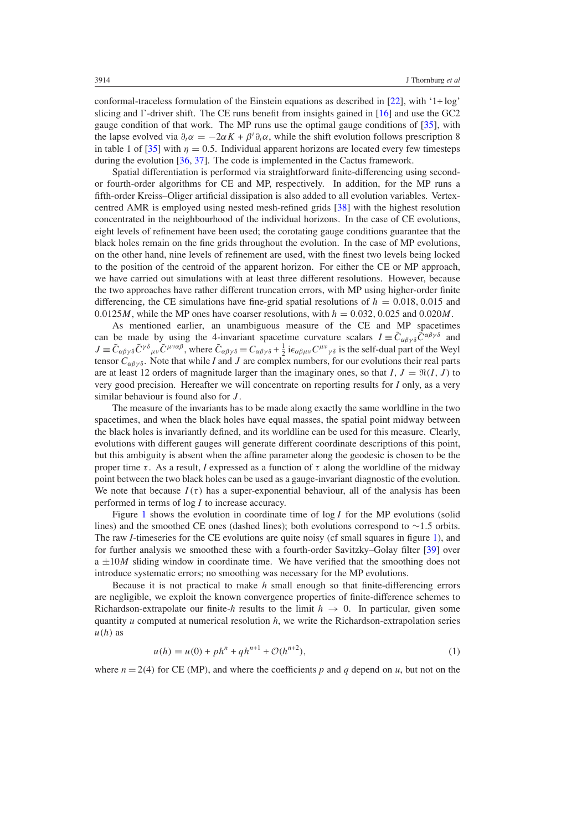<span id="page-3-0"></span>conformal-traceless formulation of the Einstein equations as described in [\[22\]](#page-7-0), with '1+ log' slicing and  $\Gamma$ -driver shift. The CE runs benefit from insights gained in [\[16](#page-6-0)] and use the GC2 gauge condition of that work. The MP runs use the optimal gauge conditions of [\[35\]](#page-7-0), with the lapse evolved via  $\partial_t \alpha = -2\alpha K + \beta^i \partial_i \alpha$ , while the shift evolution follows prescription 8 in table 1 of [\[35\]](#page-7-0) with  $\eta = 0.5$ . Individual apparent horizons are located every few timesteps during the evolution [\[36](#page-7-0), [37](#page-7-0)]. The code is implemented in the Cactus framework.

Spatial differentiation is performed via straightforward finite-differencing using secondor fourth-order algorithms for CE and MP, respectively. In addition, for the MP runs a fifth-order Kreiss–Oliger artificial dissipation is also added to all evolution variables. Vertexcentred AMR is employed using nested mesh-refined grids [\[38\]](#page-7-0) with the highest resolution concentrated in the neighbourhood of the individual horizons. In the case of CE evolutions, eight levels of refinement have been used; the corotating gauge conditions guarantee that the black holes remain on the fine grids throughout the evolution. In the case of MP evolutions, on the other hand, nine levels of refinement are used, with the finest two levels being locked to the position of the centroid of the apparent horizon. For either the CE or MP approach, we have carried out simulations with at least three different resolutions. However, because the two approaches have rather different truncation errors, with MP using higher-order finite differencing, the CE simulations have fine-grid spatial resolutions of  $h = 0.018, 0.015$  and 0.0125*M*, while the MP ones have coarser resolutions, with  $h = 0.032, 0.025$  and 0.020*M*.

As mentioned earlier, an unambiguous measure of the CE and MP spacetimes can be made by using the 4-invariant spacetime curvature scalars  $I = \tilde{C}_{\alpha\beta\gamma\delta} \tilde{C}^{\alpha\beta\gamma\delta}$  and  $J \equiv \tilde{C}_{\alpha\beta\gamma\delta}\tilde{C}^{\gamma\delta}{}_{\mu\nu}\tilde{C}^{\mu\nu\alpha\beta}$ , where  $\tilde{C}_{\alpha\beta\gamma\delta} = C_{\alpha\beta\gamma\delta} + \frac{1}{2}i\epsilon_{\alpha\beta\mu\nu}C^{\mu\nu}{}_{\gamma\delta}$  is the self-dual part of the Weyl tensor  $C_{\alpha\beta\gamma\delta}$ . Note that while *I* and *J* are complex numbers, for our evolutions their real parts are at least 12 orders of magnitude larger than the imaginary ones, so that  $I, J = \Re(I, J)$  to very good precision. Hereafter we will concentrate on reporting results for *I* only, as a very similar behaviour is found also for *J* .

The measure of the invariants has to be made along exactly the same worldline in the two spacetimes, and when the black holes have equal masses, the spatial point midway between the black holes is invariantly defined, and its worldline can be used for this measure. Clearly, evolutions with different gauges will generate different coordinate descriptions of this point, but this ambiguity is absent when the affine parameter along the geodesic is chosen to be the proper time  $\tau$ . As a result, *I* expressed as a function of  $\tau$  along the worldline of the midway point between the two black holes can be used as a gauge-invariant diagnostic of the evolution. We note that because  $I(\tau)$  has a super-exponential behaviour, all of the analysis has been performed in terms of log *I* to increase accuracy.

Figure [1](#page-4-0) shows the evolution in coordinate time of log *I* for the MP evolutions (solid lines) and the smoothed CE ones (dashed lines); both evolutions correspond to ∼1*.*5 orbits. The raw *I*-timeseries for the CE evolutions are quite noisy (cf small squares in figure [1\)](#page-4-0), and for further analysis we smoothed these with a fourth-order Savitzky–Golay filter [\[39](#page-7-0)] over  $a \pm 10M$  sliding window in coordinate time. We have verified that the smoothing does not introduce systematic errors; no smoothing was necessary for the MP evolutions.

Because it is not practical to make *h* small enough so that finite-differencing errors are negligible, we exploit the known convergence properties of finite-difference schemes to Richardson-extrapolate our finite-*h* results to the limit  $h \to 0$ . In particular, given some quantity *u* computed at numerical resolution *h*, we write the Richardson-extrapolation series  $u(h)$  as

$$
u(h) = u(0) + phn + qhn+1 + \mathcal{O}(hn+2),
$$
\n(1)

where  $n = 2(4)$  for CE (MP), and where the coefficients p and q depend on u, but not on the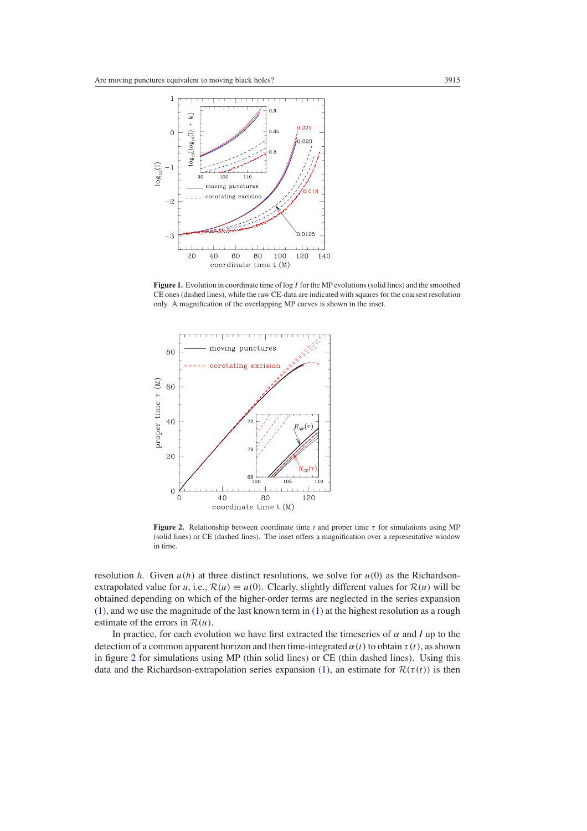<span id="page-4-0"></span>

**Figure 1.** Evolution in coordinate time of log *I* for the MP evolutions (solid lines) and the smoothed CE ones (dashed lines), while the raw CE-data are indicated with squares for the coarsest resolution only. A magnification of the overlapping MP curves is shown in the inset.



**Figure 2.** Relationship between coordinate time  $t$  and proper time  $\tau$  for simulations using MP (solid lines) or CE (dashed lines). The inset offers a magnification over a representative window in time.

resolution *h*. Given  $u(h)$  at three distinct resolutions, we solve for  $u(0)$  as the Richardsonextrapolated value for *u*, i.e.,  $\mathcal{R}(u) \equiv u(0)$ . Clearly, slightly different values for  $\mathcal{R}(u)$  will be obtained depending on which of the higher-order terms are neglected in the series expansion [\(1\)](#page-3-0), and we use the magnitude of the last known term in [\(1\)](#page-3-0) at the highest resolution as a rough estimate of the errors in R*(u)*.

In practice, for each evolution we have first extracted the timeseries of  $\alpha$  and *I* up to the detection of a common apparent horizon and then time-integrated  $\alpha(t)$  to obtain  $\tau(t)$ , as shown in figure 2 for simulations using MP (thin solid lines) or CE (thin dashed lines). Using this data and the Richardson-extrapolation series expansion [\(1\)](#page-3-0), an estimate for  $\mathcal{R}(\tau(t))$  is then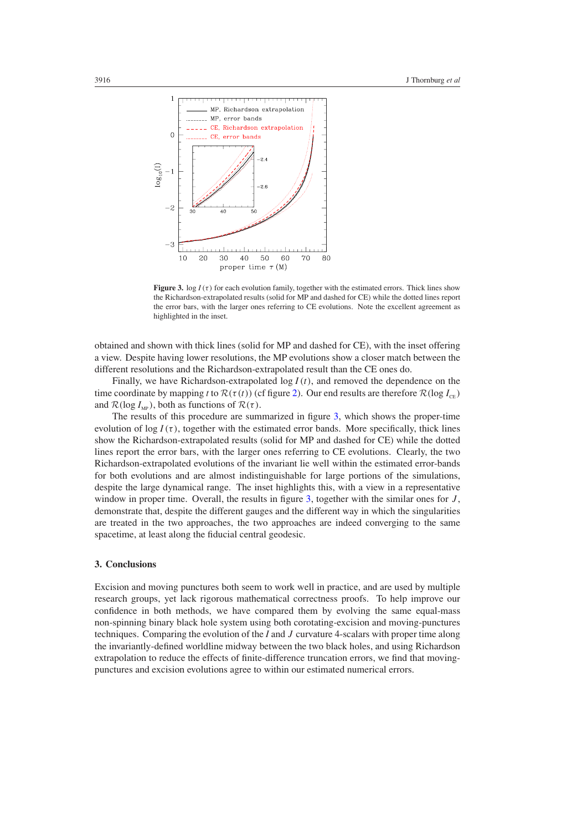

**Figure 3.** log  $I(\tau)$  for each evolution family, together with the estimated errors. Thick lines show the Richardson-extrapolated results (solid for MP and dashed for CE) while the dotted lines report the error bars, with the larger ones referring to CE evolutions. Note the excellent agreement as highlighted in the inset.

obtained and shown with thick lines (solid for MP and dashed for CE), with the inset offering a view. Despite having lower resolutions, the MP evolutions show a closer match between the different resolutions and the Richardson-extrapolated result than the CE ones do.

Finally, we have Richardson-extrapolated log *I (t)*, and removed the dependence on the time coordinate by mapping *t* to  $\mathcal{R}(\tau(t))$  (cf figure [2\)](#page-4-0). Our end results are therefore  $\mathcal{R}(\log I_{\text{ce}})$ and  $\mathcal{R}(\log I_{MP})$ , both as functions of  $\mathcal{R}(\tau)$ .

The results of this procedure are summarized in figure 3, which shows the proper-time evolution of  $\log I(\tau)$ , together with the estimated error bands. More specifically, thick lines show the Richardson-extrapolated results (solid for MP and dashed for CE) while the dotted lines report the error bars, with the larger ones referring to CE evolutions. Clearly, the two Richardson-extrapolated evolutions of the invariant lie well within the estimated error-bands for both evolutions and are almost indistinguishable for large portions of the simulations, despite the large dynamical range. The inset highlights this, with a view in a representative window in proper time. Overall, the results in figure 3, together with the similar ones for *J*, demonstrate that, despite the different gauges and the different way in which the singularities are treated in the two approaches, the two approaches are indeed converging to the same spacetime, at least along the fiducial central geodesic.

#### **3. Conclusions**

Excision and moving punctures both seem to work well in practice, and are used by multiple research groups, yet lack rigorous mathematical correctness proofs. To help improve our confidence in both methods, we have compared them by evolving the same equal-mass non-spinning binary black hole system using both corotating-excision and moving-punctures techniques. Comparing the evolution of the *I* and *J* curvature 4-scalars with proper time along the invariantly-defined worldline midway between the two black holes, and using Richardson extrapolation to reduce the effects of finite-difference truncation errors, we find that movingpunctures and excision evolutions agree to within our estimated numerical errors.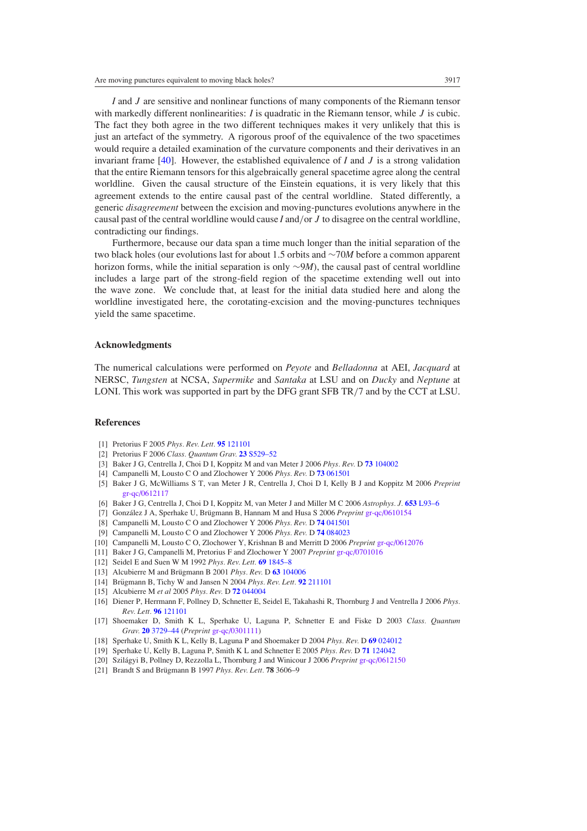<span id="page-6-0"></span>*I* and *J* are sensitive and nonlinear functions of many components of the Riemann tensor with markedly different nonlinearities: *I* is quadratic in the Riemann tensor, while *J* is cubic. The fact they both agree in the two different techniques makes it very unlikely that this is just an artefact of the symmetry. A rigorous proof of the equivalence of the two spacetimes would require a detailed examination of the curvature components and their derivatives in an invariant frame [\[40](#page-7-0)]. However, the established equivalence of *I* and *J* is a strong validation that the entire Riemann tensors for this algebraically general spacetime agree along the central worldline. Given the causal structure of the Einstein equations, it is very likely that this agreement extends to the entire causal past of the central worldline. Stated differently, a generic *disagreement* between the excision and moving-punctures evolutions anywhere in the causal past of the central worldline would cause *I* and*/*or *J* to disagree on the central worldline, contradicting our findings.

Furthermore, because our data span a time much longer than the initial separation of the two black holes (our evolutions last for about 1*.*5 orbits and ∼70*M* before a common apparent horizon forms, while the initial separation is only ∼9*M*), the causal past of central worldline includes a large part of the strong-field region of the spacetime extending well out into the wave zone. We conclude that, at least for the initial data studied here and along the worldline investigated here, the corotating-excision and the moving-punctures techniques yield the same spacetime.

#### **Acknowledgments**

The numerical calculations were performed on *Peyote* and *Belladonna* at AEI, *Jacquard* at NERSC, *Tungsten* at NCSA, *Supermike* and *Santaka* at LSU and on *Ducky* and *Neptune* at LONI. This work was supported in part by the DFG grant SFB TR*/*7 and by the CCT at LSU.

#### **References**

- [1] Pretorius F 2005 *Phys. Rev. Lett.* **95** [121101](http://dx.doi.org/10.1103/PhysRevLett.95.121101)
- [2] Pretorius F 2006 *Class. Quantum Grav.* **23** [S529–52](http://dx.doi.org/10.1088/0264-9381/23/16/S13)
- [3] Baker J G, Centrella J, Choi D I, Koppitz M and van Meter J 2006 *Phys. Rev.* D **73** [104002](http://dx.doi.org/10.1103/PhysRevD.73.104002)
- [4] Campanelli M, Lousto C O and Zlochower Y 2006 *Phys. Rev.* D **73** [061501](http://dx.doi.org/10.1103/PhysRevD.73.061501)
- [5] Baker J G, McWilliams S T, van Meter J R, Centrella J, Choi D I, Kelly B J and Koppitz M 2006 *Preprint* [gr-qc/0612117](http://www.arxiv.org/abs/gr-qc/0612117)
- [6] Baker J G, Centrella J, Choi D I, Koppitz M, van Meter J and Miller M C 2006 *Astrophys. J.* **653** [L93–6](http://dx.doi.org/10.1086/510448)
- [7] González J A, Sperhake U, Brügmann B, Hannam M and Husa S 2006 Preprint [gr-qc/0610154](http://www.arxiv.org/abs/gr-qc/0610154)
- [8] Campanelli M, Lousto C O and Zlochower Y 2006 *Phys. Rev.* D **74** [041501](http://dx.doi.org/10.1103/PhysRevD.74.041501)
- [9] Campanelli M, Lousto C O and Zlochower Y 2006 *Phys. Rev.* D **74** [084023](http://dx.doi.org/10.1103/PhysRevD.74.084023)
- [10] Campanelli M, Lousto C O, Zlochower Y, Krishnan B and Merritt D 2006 *Preprint* [gr-qc/0612076](http://www.arxiv.org/abs/gr-qc/0612076)
- [11] Baker J G, Campanelli M, Pretorius F and Zlochower Y 2007 *Preprint* [gr-qc/0701016](http://www.arxiv.org/abs/gr-qc/0701016)
- [12] Seidel E and Suen W M 1992 *Phys. Rev. Lett.* **69** [1845–8](http://dx.doi.org/10.1103/PhysRevLett.69.1845)
- [13] Alcubierre M and Brügmann B 2001 Phys. Rev. D 63 [104006](http://dx.doi.org/10.1103/PhysRevD.63.104006)
- [14] Brügmann B, Tichy W and Jansen N 2004 *Phys. Rev. Lett.* **92** [211101](http://dx.doi.org/10.1103/PhysRevLett.92.211101)
- [15] Alcubierre M *et al* 2005 *Phys. Rev.* D **72** [044004](http://dx.doi.org/10.1103/PhysRevD.72.044004)
- [16] Diener P, Herrmann F, Pollney D, Schnetter E, Seidel E, Takahashi R, Thornburg J and Ventrella J 2006 *Phys. Rev. Lett.* **96** [121101](http://dx.doi.org/10.1103/PhysRevLett.96.121101)
- [17] Shoemaker D, Smith K L, Sperhake U, Laguna P, Schnetter E and Fiske D 2003 *Class. Quantum Grav.* **20** [3729–44](http://dx.doi.org/10.1088/0264-9381/20/16/313) (*Preprint* [gr-qc/0301111\)](http://www.arxiv.org/abs/gr-qc/0301111)
- [18] Sperhake U, Smith K L, Kelly B, Laguna P and Shoemaker D 2004 *Phys. Rev.* D **69** [024012](http://dx.doi.org/10.1103/PhysRevD.69.024012)
- [19] Sperhake U, Kelly B, Laguna P, Smith K L and Schnetter E 2005 *Phys. Rev.* D **71** [124042](http://dx.doi.org/10.1103/PhysRevD.71.124042)
- [20] Szilágyi B, Pollney D, Rezzolla L, Thornburg J and Winicour J 2006 Preprint [gr-qc/0612150](http://www.arxiv.org/abs/gr-qc/0612150)
- [21] Brandt S and Brügmann B 1997 Phys. Rev. Lett. **78** 3606–9